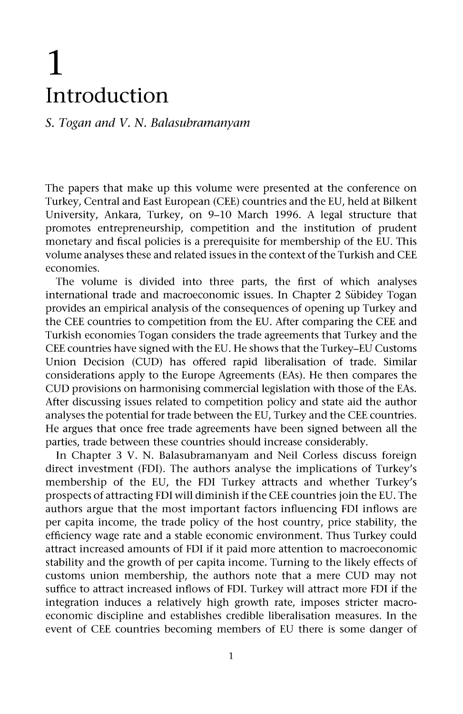## **1 In traduction**

## *S. Togan and V. N. Balasubramanyam*

The papers that make up this volume were presented at the conference on Turkey, Central and East European (CEE) countries and the EU, held at Bilkent University, Ankara, Turkey, on 9-10 March 1996. A legal structure that promotes entrepreneurship, competition and the institution of prudent monetary and fiscal policies is a prerequisite for membership of the EU. This volume analyses these and related issues in the context of the Turkish and CEE economies.

The volume is divided into three parts, the first of which analyses international trade and macroeconomic issues. In Chapter 2 Sübidey Togan provides an empirical analysis of the consequences of opening up Turkey and the CEE countries to competition from the EU. After comparing the CEE and Turkish economies Togan considers the trade agreements that Turkey and the CEE countries have signed with the EU. He shows that the Turkey-EU Customs Union Decision (CUD) has offered rapid liberalisation of trade. Similar considerations apply to the Europe Agreements (EAs). He then compares the CUD provisions on harmonising commercial legislation with those of the EAs. After discussing issues related to competition policy and state aid the author analyses the potential for trade between the EU, Turkey and the CEE countries. He argues that once free trade agreements have been signed between all the parties, trade between these countries should increase considerably.

In Chapter 3 V. N. Balasubramanyam and Neil Corless discuss foreign direct investment (FDI). The authors analyse the implications of Turkey's membership of the EU, the FDI Turkey attracts and whether Turkey's prospects of attracting FDI will diminish if the CEE countries join the EU. The authors argue that the most important factors influencing FDI inflows are per capita income, the trade policy of the host country, price stability, the efficiency wage rate and a stable economic environment. Thus Turkey could attract increased amounts of FDI if it paid more attention to macroeconomic stability and the growth of per capita income. Turning to the likely effects of customs union membership, the authors note that a mere CUD may not suffice to attract increased inflows of FDI. Turkey will attract more FDI if the integration induces a relatively high growth rate, imposes stricter macroeconomic discipline and establishes credible liberalisation measures. In the event of CEE countries becoming members of EU there is some danger of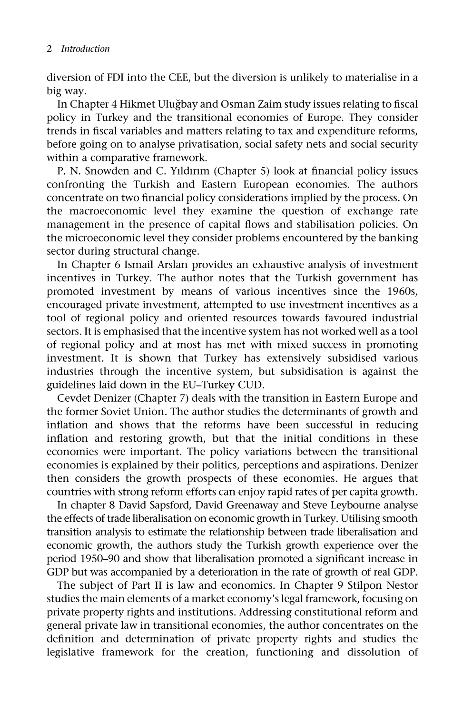diversion of FDI into the CEE, but the diversion is unlikely to materialise in a big way.

In Chapter 4 Hikmet Ulugbay and Osman Zaim study issues relating to fiscal policy in Turkey and the transitional economies of Europe. They consider trends in fiscal variables and matters relating to tax and expenditure reforms, before going on to analyse privatisation, social safety nets and social security within a comparative framework.

P. N. Snowden and C. Yıldırım (Chapter 5) look at financial policy issues confronting the Turkish and Eastern European economies. The authors concentrate on two financial policy considerations implied by the process. On the macroeconomic level they examine the question of exchange rate management in the presence of capital flows and stabilisation policies. On the microeconomic level they consider problems encountered by the banking sector during structural change.

In Chapter 6 Ismail Arslan provides an exhaustive analysis of investment incentives in Turkey. The author notes that the Turkish government has promoted investment by means of various incentives since the 1960s, encouraged private investment, attempted to use investment incentives as a tool of regional policy and oriented resources towards favoured industrial sectors. It is emphasised that the incentive system has not worked well as a tool of regional policy and at most has met with mixed success in promoting investment. It is shown that Turkey has extensively subsidised various industries through the incentive system, but subsidisation is against the guidelines laid down in the EU-Turkey CUD.

Cevdet Denizer (Chapter 7) deals with the transition in Eastern Europe and the former Soviet Union. The author studies the determinants of growth and inflation and shows that the reforms have been successful in reducing inflation and restoring growth, but that the initial conditions in these economies were important. The policy variations between the transitional economies is explained by their politics, perceptions and aspirations. Denizer then considers the growth prospects of these economies. He argues that countries with strong reform efforts can enjoy rapid rates of per capita growth.

In chapter 8 David Sapsford, David Greenaway and Steve Leybourne analyse the effects of trade liberalisation on economic growth in Turkey. Utilising smooth transition analysis to estimate the relationship between trade liberalisation and economic growth, the authors study the Turkish growth experience over the period 1950-90 and show that liberalisation promoted a significant increase in GDP but was accompanied by a deterioration in the rate of growth of real GDP.

The subject of Part II is law and economics. In Chapter 9 Stilpon Nestor studies the main elements of a market economy's legal framework, focusing on private property rights and institutions. Addressing constitutional reform and general private law in transitional economies, the author concentrates on the definition and determination of private property rights and studies the legislative framework for the creation, functioning and dissolution of